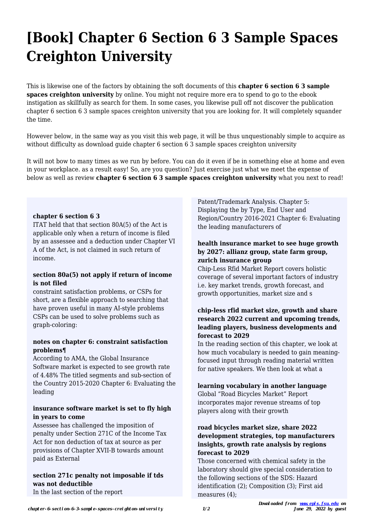# **[Book] Chapter 6 Section 6 3 Sample Spaces Creighton University**

This is likewise one of the factors by obtaining the soft documents of this **chapter 6 section 6 3 sample spaces creighton university** by online. You might not require more era to spend to go to the ebook instigation as skillfully as search for them. In some cases, you likewise pull off not discover the publication chapter 6 section 6 3 sample spaces creighton university that you are looking for. It will completely squander the time.

However below, in the same way as you visit this web page, it will be thus unquestionably simple to acquire as without difficulty as download guide chapter 6 section 6 3 sample spaces creighton university

It will not bow to many times as we run by before. You can do it even if be in something else at home and even in your workplace. as a result easy! So, are you question? Just exercise just what we meet the expense of below as well as review **chapter 6 section 6 3 sample spaces creighton university** what you next to read!

#### **chapter 6 section 6 3**

ITAT held that that section 80A(5) of the Act is applicable only when a return of income is filed by an assessee and a deduction under Chapter VI A of the Act, is not claimed in such return of income.

#### **section 80a(5) not apply if return of income is not filed**

constraint satisfaction problems, or CSPs for short, are a flexible approach to searching that have proven useful in many AI-style problems CSPs can be used to solve problems such as graph-coloring:

## **notes on chapter 6: constraint satisfaction problems¶**

According to AMA, the Global Insurance Software market is expected to see growth rate of 4.48% The titled segments and sub-section of the Country 2015-2020 Chapter 6: Evaluating the leading

#### **insurance software market is set to fly high in years to come**

Assessee has challenged the imposition of penalty under Section 271C of the Income Tax Act for non deduction of tax at source as per provisions of Chapter XVII-B towards amount paid as External

# **section 271c penalty not imposable if tds was not deductible**

In the last section of the report

Patent/Trademark Analysis. Chapter 5: Displaying the by Type, End User and Region/Country 2016-2021 Chapter 6: Evaluating the leading manufacturers of

#### **health insurance market to see huge growth by 2027: allianz group, state farm group, zurich insurance group**

Chip-Less Rfid Market Report covers holistic coverage of several important factors of industry i.e. key market trends, growth forecast, and growth opportunities, market size and s

#### **chip-less rfid market size, growth and share research 2022 current and upcoming trends, leading players, business developments and forecast to 2029**

In the reading section of this chapter, we look at how much vocabulary is needed to gain meaningfocused input through reading material written for native speakers. We then look at what a

**learning vocabulary in another language** Global "Road Bicycles Market" Report incorporates major revenue streams of top players along with their growth

## **road bicycles market size, share 2022 development strategies, top manufacturers insights, growth rate analysis by regions forecast to 2029**

Those concerned with chemical safety in the laboratory should give special consideration to the following sections of the SDS: Hazard identification (2); Composition (3); First aid measures (4);